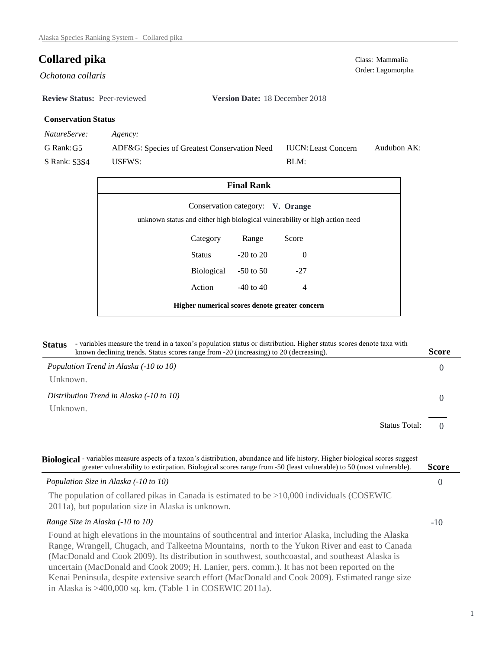Order: Lagomorpha *Ochotona collaris* 

**Review Status:** Peer-reviewed **Version Date:** 18 December 2018

# **Conservation Status**

*NatureServe: Agency:*

G Rank:G5 S Rank: S3S4 ADF&G: Species of Greatest Conservation Need USFWS: Audubon AK: BLM: IUCN:Least Concern

|                                                                             | <b>Final Rank</b>                |          |  |
|-----------------------------------------------------------------------------|----------------------------------|----------|--|
| unknown status and either high biological vulnerability or high action need | Conservation category: V. Orange |          |  |
| Category                                                                    | Range                            | Score    |  |
| Status                                                                      | $-20$ to $20$                    | $\Omega$ |  |
| Biological                                                                  | $-50$ to 50                      | $-27$    |  |
| Action                                                                      | $-40$ to $40$                    | 4        |  |
| Higher numerical scores denote greater concern                              |                                  |          |  |

# **Status** - variables measure the trend in a taxon's population status or distribution. Higher status scores denote taxa with known declining trends. Status scores range from -20 (increasing) to 20 (decreasing). **Score**

| Population Trend in Alaska (-10 to 10)<br>Unknown.   |                      | 0 |
|------------------------------------------------------|----------------------|---|
| Distribution Trend in Alaska (-10 to 10)<br>Unknown. |                      |   |
|                                                      | <b>Status Total:</b> |   |

0 -10 **Biological** - variables measure aspects of a taxon's distribution, abundance and life history. Higher biological scores suggest *Population Size in Alaska (-10 to 10)* The population of collared pikas in Canada is estimated to be >10,000 individuals (COSEWIC 2011a), but population size in Alaska is unknown. *Range Size in Alaska (-10 to 10)* Found at high elevations in the mountains of southcentral and interior Alaska, including the Alaska Range, Wrangell, Chugach, and Talkeetna Mountains, north to the Yukon River and east to Canada (MacDonald and Cook 2009). Its distribution in southwest, southcoastal, and southeast Alaska is **Score** greater vulnerability to extirpation. Biological scores range from -50 (least vulnerable) to 50 (most vulnerable).

uncertain (MacDonald and Cook 2009; H. Lanier, pers. comm.). It has not been reported on the Kenai Peninsula, despite extensive search effort (MacDonald and Cook 2009). Estimated range size in Alaska is >400,000 sq. km. (Table 1 in COSEWIC 2011a).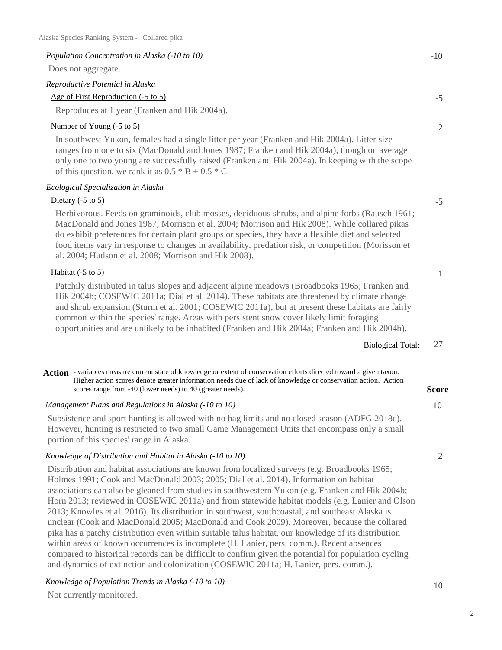| Alaska Species Ranking System - Collared pika                                                                                                                                                                                                                                                                                                                                                                                                                                                                                                                                                  |                |
|------------------------------------------------------------------------------------------------------------------------------------------------------------------------------------------------------------------------------------------------------------------------------------------------------------------------------------------------------------------------------------------------------------------------------------------------------------------------------------------------------------------------------------------------------------------------------------------------|----------------|
| Population Concentration in Alaska (-10 to 10)                                                                                                                                                                                                                                                                                                                                                                                                                                                                                                                                                 | $-10$          |
| Does not aggregate.                                                                                                                                                                                                                                                                                                                                                                                                                                                                                                                                                                            |                |
| Reproductive Potential in Alaska                                                                                                                                                                                                                                                                                                                                                                                                                                                                                                                                                               |                |
| Age of First Reproduction (-5 to 5)                                                                                                                                                                                                                                                                                                                                                                                                                                                                                                                                                            | $-5$           |
| Reproduces at 1 year (Franken and Hik 2004a).                                                                                                                                                                                                                                                                                                                                                                                                                                                                                                                                                  |                |
| Number of Young (-5 to 5)                                                                                                                                                                                                                                                                                                                                                                                                                                                                                                                                                                      | 2              |
| In southwest Yukon, females had a single litter per year (Franken and Hik 2004a). Litter size<br>ranges from one to six (MacDonald and Jones 1987; Franken and Hik 2004a), though on average<br>only one to two young are successfully raised (Franken and Hik 2004a). In keeping with the scope<br>of this question, we rank it as $0.5 * B + 0.5 * C$ .                                                                                                                                                                                                                                      |                |
| Ecological Specialization in Alaska                                                                                                                                                                                                                                                                                                                                                                                                                                                                                                                                                            |                |
| Dietary $(-5 \text{ to } 5)$                                                                                                                                                                                                                                                                                                                                                                                                                                                                                                                                                                   | $-5$           |
| Herbivorous. Feeds on graminoids, club mosses, deciduous shrubs, and alpine forbs (Rausch 1961;<br>MacDonald and Jones 1987; Morrison et al. 2004; Morrison and Hik 2008). While collared pikas<br>do exhibit preferences for certain plant groups or species, they have a flexible diet and selected<br>food items vary in response to changes in availability, predation risk, or competition (Morisson et<br>al. 2004; Hudson et al. 2008; Morrison and Hik 2008).                                                                                                                          |                |
| Habitat $(-5 \text{ to } 5)$                                                                                                                                                                                                                                                                                                                                                                                                                                                                                                                                                                   | 1              |
| Patchily distributed in talus slopes and adjacent alpine meadows (Broadbooks 1965; Franken and<br>Hik 2004b; COSEWIC 2011a; Dial et al. 2014). These habitats are threatened by climate change<br>and shrub expansion (Sturm et al. 2001; COSEWIC 2011a), but at present these habitats are fairly<br>common within the species' range. Areas with persistent snow cover likely limit foraging<br>opportunities and are unlikely to be inhabited (Franken and Hik 2004a; Franken and Hik 2004b).                                                                                               |                |
| <b>Biological Total:</b>                                                                                                                                                                                                                                                                                                                                                                                                                                                                                                                                                                       | $-27$          |
| Action - variables measure current state of knowledge or extent of conservation efforts directed toward a given taxon.<br>Higher action scores denote greater information needs due of lack of knowledge or conservation action. Action<br>scores range from -40 (lower needs) to 40 (greater needs).                                                                                                                                                                                                                                                                                          | <b>Score</b>   |
| Management Plans and Regulations in Alaska (-10 to 10)                                                                                                                                                                                                                                                                                                                                                                                                                                                                                                                                         | $-10$          |
| Subsistence and sport hunting is allowed with no bag limits and no closed season (ADFG 2018c).<br>However, hunting is restricted to two small Game Management Units that encompass only a small<br>portion of this species' range in Alaska.                                                                                                                                                                                                                                                                                                                                                   |                |
| Knowledge of Distribution and Habitat in Alaska (-10 to 10)                                                                                                                                                                                                                                                                                                                                                                                                                                                                                                                                    | $\overline{2}$ |
| Distribution and habitat associations are known from localized surveys (e.g. Broadbooks 1965;<br>Holmes 1991; Cook and MacDonald 2003; 2005; Dial et al. 2014). Information on habitat<br>associations can also be gleaned from studies in southwestern Yukon (e.g. Franken and Hik 2004b;<br>Horn 2013; reviewed in COSEWIC 2011a) and from statewide habitat models (e.g. Lanier and Olson<br>2013; Knowles et al. 2016). Its distribution in southwest, southcoastal, and southeast Alaska is<br>unclear (Cook and MacDonald 2005; MacDonald and Cook 2009). Moreover, because the collared |                |

pika has a patchy distribution even within suitable talus habitat, our knowledge of its distribution within areas of known occurrences is incomplete (H. Lanier, pers. comm.). Recent absences compared to historical records can be difficult to confirm given the potential for population cycling and dynamics of extinction and colonization (COSEWIC 2011a; H. Lanier, pers. comm.).

*Knowledge of Population Trends in Alaska (-10 to 10)*

Not currently monitored.

10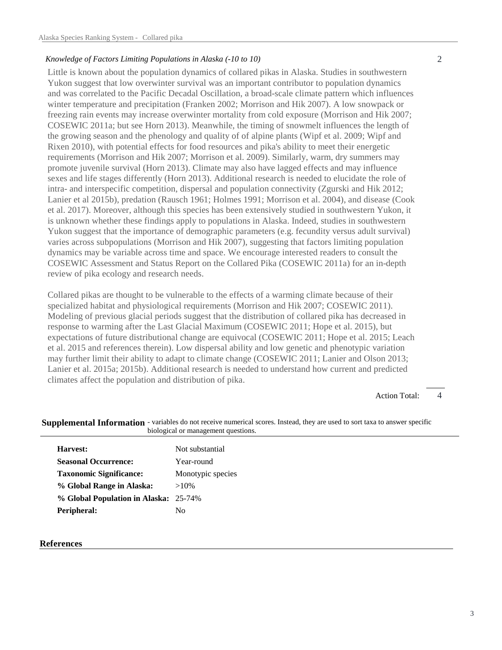# *Knowledge of Factors Limiting Populations in Alaska (-10 to 10)*

Little is known about the population dynamics of collared pikas in Alaska. Studies in southwestern Yukon suggest that low overwinter survival was an important contributor to population dynamics and was correlated to the Pacific Decadal Oscillation, a broad-scale climate pattern which influences winter temperature and precipitation (Franken 2002; Morrison and Hik 2007). A low snowpack or freezing rain events may increase overwinter mortality from cold exposure (Morrison and Hik 2007; COSEWIC 2011a; but see Horn 2013). Meanwhile, the timing of snowmelt influences the length of the growing season and the phenology and quality of of alpine plants (Wipf et al. 2009; Wipf and Rixen 2010), with potential effects for food resources and pika's ability to meet their energetic requirements (Morrison and Hik 2007; Morrison et al. 2009). Similarly, warm, dry summers may promote juvenile survival (Horn 2013). Climate may also have lagged effects and may influence sexes and life stages differently (Horn 2013). Additional research is needed to elucidate the role of intra- and interspecific competition, dispersal and population connectivity (Zgurski and Hik 2012; Lanier et al 2015b), predation (Rausch 1961; Holmes 1991; Morrison et al. 2004), and disease (Cook et al. 2017). Moreover, although this species has been extensively studied in southwestern Yukon, it is unknown whether these findings apply to populations in Alaska. Indeed, studies in southwestern Yukon suggest that the importance of demographic parameters (e.g. fecundity versus adult survival) varies across subpopulations (Morrison and Hik 2007), suggesting that factors limiting population dynamics may be variable across time and space. We encourage interested readers to consult the COSEWIC Assessment and Status Report on the Collared Pika (COSEWIC 2011a) for an in-depth review of pika ecology and research needs.

Collared pikas are thought to be vulnerable to the effects of a warming climate because of their specialized habitat and physiological requirements (Morrison and Hik 2007; COSEWIC 2011). Modeling of previous glacial periods suggest that the distribution of collared pika has decreased in response to warming after the Last Glacial Maximum (COSEWIC 2011; Hope et al. 2015), but expectations of future distributional change are equivocal (COSEWIC 2011; Hope et al. 2015; Leach et al. 2015 and references therein). Low dispersal ability and low genetic and phenotypic variation may further limit their ability to adapt to climate change (COSEWIC 2011; Lanier and Olson 2013; Lanier et al. 2015a; 2015b). Additional research is needed to understand how current and predicted climates affect the population and distribution of pika.

#### 4 Action Total:

| Harvest:                              | Not substantial   |  |
|---------------------------------------|-------------------|--|
| <b>Seasonal Occurrence:</b>           | Year-round        |  |
| <b>Taxonomic Significance:</b>        | Monotypic species |  |
| % Global Range in Alaska:             | $>10\%$           |  |
| % Global Population in Alaska: 25-74% |                   |  |
| Peripheral:                           | N <sub>0</sub>    |  |

## Supplemental Information - variables do not receive numerical scores. Instead, they are used to sort taxa to answer specific biological or management questions.

### **References**

3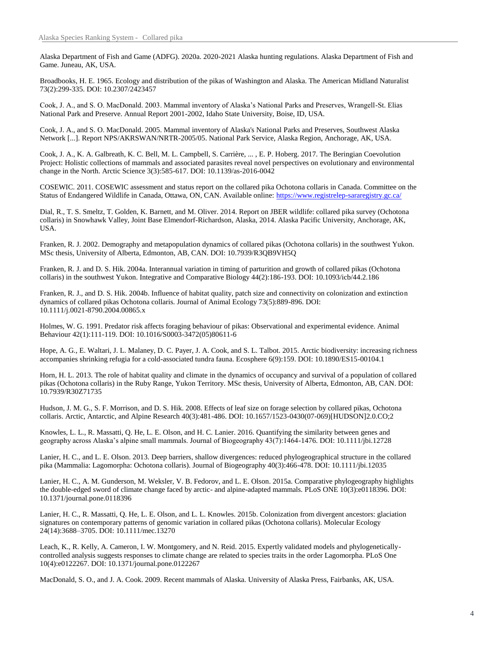Alaska Department of Fish and Game (ADFG). 2020a. 2020-2021 Alaska hunting regulations. Alaska Department of Fish and Game. Juneau, AK, USA.

Broadbooks, H. E. 1965. Ecology and distribution of the pikas of Washington and Alaska. The American Midland Naturalist 73(2):299-335. DOI: 10.2307/2423457

Cook, J. A., and S. O. MacDonald. 2003. Mammal inventory of Alaska's National Parks and Preserves, Wrangell-St. Elias National Park and Preserve. Annual Report 2001-2002, Idaho State University, Boise, ID, USA.

Cook, J. A., and S. O. MacDonald. 2005. Mammal inventory of Alaska's National Parks and Preserves, Southwest Alaska Network [...]. Report NPS/AKRSWAN/NRTR-2005/05. National Park Service, Alaska Region, Anchorage, AK, USA.

Cook, J. A., K. A. Galbreath, K. C. Bell, M. L. Campbell, S. Carrière, ... , E. P. Hoberg. 2017. The Beringian Coevolution Project: Holistic collections of mammals and associated parasites reveal novel perspectives on evolutionary and environmental change in the North. Arctic Science 3(3):585-617. DOI: 10.1139/as-2016-0042

COSEWIC. 2011. COSEWIC assessment and status report on the collared pika Ochotona collaris in Canada. Committee on the Status of Endangered Wildlife in Canada, Ottawa, ON, CAN. Available online: https://www.registrelep-sararegistry.gc.ca/

Dial, R., T. S. Smeltz, T. Golden, K. Barnett, and M. Oliver. 2014. Report on JBER wildlife: collared pika survey (Ochotona collaris) in Snowhawk Valley, Joint Base Elmendorf-Richardson, Alaska, 2014. Alaska Pacific University, Anchorage, AK, USA.

Franken, R. J. 2002. Demography and metapopulation dynamics of collared pikas (Ochotona collaris) in the southwest Yukon. MSc thesis, University of Alberta, Edmonton, AB, CAN. DOI: 10.7939/R3QB9VH5Q

Franken, R. J. and D. S. Hik. 2004a. Interannual variation in timing of parturition and growth of collared pikas (Ochotona collaris) in the southwest Yukon. Integrative and Comparative Biology 44(2):186-193. DOI: 10.1093/icb/44.2.186

Franken, R. J., and D. S. Hik. 2004b. Influence of habitat quality, patch size and connectivity on colonization and extinction dynamics of collared pikas Ochotona collaris. Journal of Animal Ecology 73(5):889-896. DOI: 10.1111/j.0021-8790.2004.00865.x

Holmes, W. G. 1991. Predator risk affects foraging behaviour of pikas: Observational and experimental evidence. Animal Behaviour 42(1):111-119. DOI: 10.1016/S0003-3472(05)80611-6

Hope, A. G., E. Waltari, J. L. Malaney, D. C. Payer, J. A. Cook, and S. L. Talbot. 2015. Arctic biodiversity: increasing richness accompanies shrinking refugia for a cold-associated tundra fauna. Ecosphere 6(9):159. DOI: 10.1890/ES15-00104.1

Horn, H. L. 2013. The role of habitat quality and climate in the dynamics of occupancy and survival of a population of collared pikas (Ochotona collaris) in the Ruby Range, Yukon Territory. MSc thesis, University of Alberta, Edmonton, AB, CAN. DOI: 10.7939/R30Z71735

Hudson, J. M. G., S. F. Morrison, and D. S. Hik. 2008. Effects of leaf size on forage selection by collared pikas, Ochotona collaris. Arctic, Antarctic, and Alpine Research 40(3):481-486. DOI: 10.1657/1523-0430(07-069)[HUDSON]2.0.CO;2

Knowles, L. L., R. Massatti, Q. He, L. E. Olson, and H. C. Lanier. 2016. Quantifying the similarity between genes and geography across Alaska's alpine small mammals. Journal of Biogeography 43(7):1464-1476. DOI: 10.1111/jbi.12728

Lanier, H. C., and L. E. Olson. 2013. Deep barriers, shallow divergences: reduced phylogeographical structure in the collared pika (Mammalia: Lagomorpha: Ochotona collaris). Journal of Biogeography 40(3):466-478. DOI: 10.1111/jbi.12035

Lanier, H. C., A. M. Gunderson, M. Weksler, V. B. Fedorov, and L. E. Olson. 2015a. Comparative phylogeography highlights the double-edged sword of climate change faced by arctic- and alpine-adapted mammals. PLoS ONE 10(3):e0118396. DOI: 10.1371/journal.pone.0118396

Lanier, H. C., R. Massatti, Q. He, L. E. Olson, and L. L. Knowles. 2015b. Colonization from divergent ancestors: glaciation signatures on contemporary patterns of genomic variation in collared pikas (Ochotona collaris). Molecular Ecology 24(14):3688–3705. DOI: 10.1111/mec.13270

Leach, K., R. Kelly, A. Cameron, I. W. Montgomery, and N. Reid. 2015. Expertly validated models and phylogeneticallycontrolled analysis suggests responses to climate change are related to species traits in the order Lagomorpha. PLoS One 10(4):e0122267. DOI: 10.1371/journal.pone.0122267

MacDonald, S. O., and J. A. Cook. 2009. Recent mammals of Alaska. University of Alaska Press, Fairbanks, AK, USA.